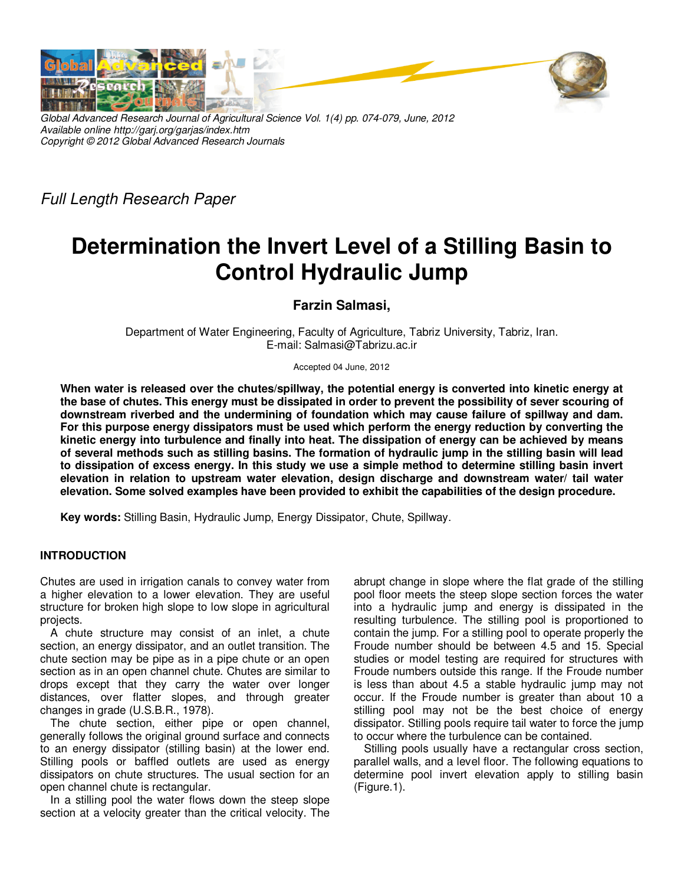

*Global Advanced Research Journal of Agricultural Science Vol. 1(4) pp. 074-079, June, 2012 Available online http://garj.org/garjas/index.htm Copyright © 2012 Global Advanced Research Journals* 

*Full Length Research Paper* 

# **Determination the Invert Level of a Stilling Basin to Control Hydraulic Jump**

### **Farzin Salmasi,**

Department of Water Engineering, Faculty of Agriculture, Tabriz University, Tabriz, Iran. E-mail: Salmasi@Tabrizu.ac.ir

#### Accepted 04 June, 2012

**When water is released over the chutes/spillway, the potential energy is converted into kinetic energy at the base of chutes. This energy must be dissipated in order to prevent the possibility of sever scouring of downstream riverbed and the undermining of foundation which may cause failure of spillway and dam. For this purpose energy dissipators must be used which perform the energy reduction by converting the kinetic energy into turbulence and finally into heat. The dissipation of energy can be achieved by means of several methods such as stilling basins. The formation of hydraulic jump in the stilling basin will lead to dissipation of excess energy. In this study we use a simple method to determine stilling basin invert elevation in relation to upstream water elevation, design discharge and downstream water/ tail water elevation. Some solved examples have been provided to exhibit the capabilities of the design procedure.** 

**Key words:** Stilling Basin, Hydraulic Jump, Energy Dissipator, Chute, Spillway.

#### **INTRODUCTION**

Chutes are used in irrigation canals to convey water from a higher elevation to a lower elevation. They are useful structure for broken high slope to low slope in agricultural projects.

A chute structure may consist of an inlet, a chute section, an energy dissipator, and an outlet transition. The chute section may be pipe as in a pipe chute or an open section as in an open channel chute. Chutes are similar to drops except that they carry the water over longer distances, over flatter slopes, and through greater changes in grade (U.S.B.R., 1978).

The chute section, either pipe or open channel, generally follows the original ground surface and connects to an energy dissipator (stilling basin) at the lower end. Stilling pools or baffled outlets are used as energy dissipators on chute structures. The usual section for an open channel chute is rectangular.

In a stilling pool the water flows down the steep slope section at a velocity greater than the critical velocity. The abrupt change in slope where the flat grade of the stilling pool floor meets the steep slope section forces the water into a hydraulic jump and energy is dissipated in the resulting turbulence. The stilling pool is proportioned to contain the jump. For a stilling pool to operate properly the Froude number should be between 4.5 and 15. Special studies or model testing are required for structures with Froude numbers outside this range. If the Froude number is less than about 4.5 a stable hydraulic jump may not occur. If the Froude number is greater than about 10 a stilling pool may not be the best choice of energy dissipator. Stilling pools require tail water to force the jump to occur where the turbulence can be contained.

Stilling pools usually have a rectangular cross section, parallel walls, and a level floor. The following equations to determine pool invert elevation apply to stilling basin (Figure.1).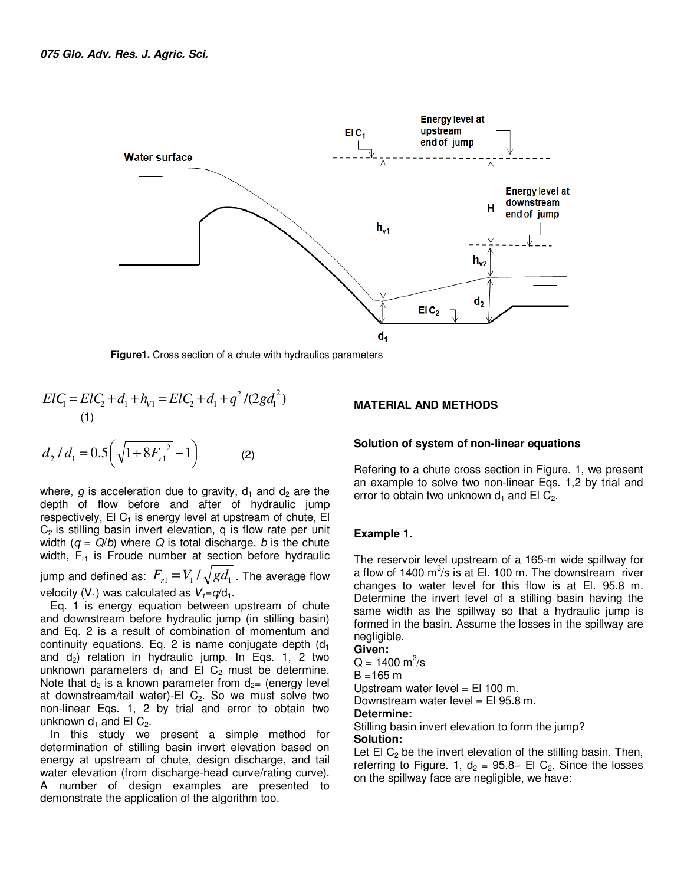

**Figure1.** Cross section of a chute with hydraulics parameters

$$
ElC_1 = ElC_2 + d_1 + h_{V1} = ElC_2 + d_1 + q^2 / (2gd_1^2)
$$
\n(1)

$$
d_2 / d_1 = 0.5 \left( \sqrt{1 + 8F_{r1}^2} - 1 \right) \tag{2}
$$

where,  $g$  is acceleration due to gravity,  $d_1$  and  $d_2$  are the depth of flow before and after of hydraulic jump respectively,  $EI C_1$  is energy level at upstream of chute,  $EI$  $C<sub>2</sub>$  is stilling basin invert elevation, q is flow rate per unit width (*q* = *Q*/*b*) where *Q* is total discharge, *b* is the chute width,  $F_{r1}$  is Froude number at section before hydraulic jump and defined as:  $F_{r1} = V_1 / \sqrt{gd_1}$  . The average flow velocity ( $V_1$ ) was calculated as  $V_1 = q/d_1$ .

Eq. 1 is energy equation between upstream of chute and downstream before hydraulic jump (in stilling basin) and Eq. 2 is a result of combination of momentum and continuity equations. Eq. 2 is name conjugate depth  $(d_1)$ and  $d_2$ ) relation in hydraulic jump. In Eqs. 1, 2 two unknown parameters  $d_1$  and El C<sub>2</sub> must be determine. Note that  $d_2$  is a known parameter from  $d_2$ = (energy level at downstream/tail water)-El  $C_2$ . So we must solve two non-linear Eqs. 1, 2 by trial and error to obtain two unknown  $d_1$  and El  $C_2$ .

In this study we present a simple method for determination of stilling basin invert elevation based on energy at upstream of chute, design discharge, and tail water elevation (from discharge-head curve/rating curve). A number of design examples are presented to demonstrate the application of the algorithm too.

#### **MATERIAL AND METHODS**

#### **Solution of system of non-linear equations**

Refering to a chute cross section in Figure. 1, we present an example to solve two non-linear Eqs. 1,2 by trial and error to obtain two unknown  $d_1$  and El C<sub>2</sub>.

#### **Example 1.**

The reservoir level upstream of a 165-m wide spillway for a flow of 1400  $\text{m}^3\text{/s}$  is at El. 100 m. The downstream river changes to water level for this flow is at El. 95.8 m. Determine the invert level of a stilling basin having the same width as the spillway so that a hydraulic jump is formed in the basin. Assume the losses in the spillway are negligible.

**Given:** 

 $Q = 1400 \text{ m}^3\text{/s}$ 

 $B = 165 m$ 

Upstream water level = El 100 m.

Downstream water level = El 95.8 m.

#### **Determine:**

Stilling basin invert elevation to form the jump? **Solution:** 

Let El  $C_2$  be the invert elevation of the stilling basin. Then, referring to Figure. 1,  $d_2 = 95.8-$  El C<sub>2</sub>. Since the losses on the spillway face are negligible, we have: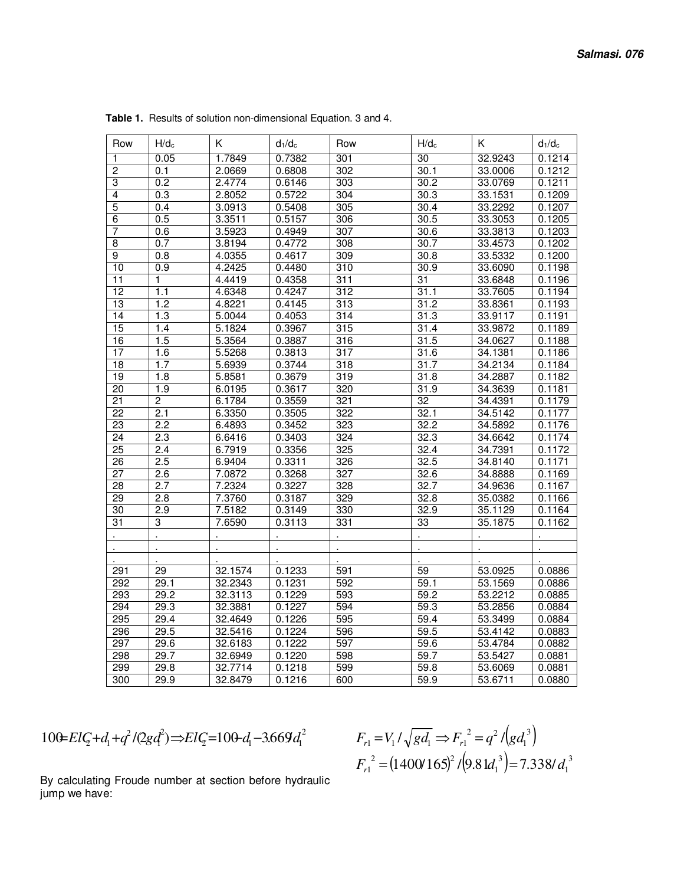| Row                 | $H/d_c$          | K                | $d_1/d_c$        | Row              | $H/d_c$           | K                  | $d_1/d_c$        |
|---------------------|------------------|------------------|------------------|------------------|-------------------|--------------------|------------------|
|                     | 0.05             | 1.7849           | 0.7382           |                  | 30                | 32.9243            | 0.1214           |
| 1                   |                  |                  | 0.6808           | 301<br>302       | 30.1              |                    | 0.1212           |
| $\overline{2}$      | 0.1<br>0.2       | 2.0669<br>2.4774 |                  | 303              | 30.2              | 33.0006            | 0.1211           |
| 3                   |                  |                  | 0.6146           |                  |                   | 33.0769            |                  |
| 4                   | 0.3              | 2.8052           | 0.5722           | 304              | 30.3              | 33.1531            | 0.1209           |
| 5                   | 0.4              | 3.0913           | 0.5408           | 305              | 30.4              | 33.2292            | 0.1207           |
| 6<br>$\overline{7}$ | 0.5              | 3.3511           | 0.5157           | 306              | 30.5              | 33.3053            | 0.1205           |
|                     | 0.6              | 3.5923           | 0.4949<br>0.4772 | 307              | 30.6<br>30.7      | 33.3813<br>33.4573 | 0.1203<br>0.1202 |
| $\overline{8}$      | 0.7              | 3.8194           |                  | 308              |                   |                    |                  |
| $\overline{9}$      | 0.8              | 4.0355           | 0.4617           | 309              | 30.8              | 33.5332            | 0.1200           |
| 10                  | 0.9              | 4.2425           | 0.4480           | $\overline{310}$ | 30.9              | 33.6090            | 0.1198           |
| $\overline{11}$     | 1                | 4.4419           | 0.4358           | 311              | $\overline{31}$   | 33.6848            | 0.1196           |
| $\overline{12}$     | 1.1              | 4.6348           | 0.4247           | 312              | 31.1              | 33.7605            | 0.1194           |
| $\overline{13}$     | 1.2              | 4.8221           | 0.4145           | 313              | $\overline{31.2}$ | 33.8361            | 0.1193           |
| 14                  | 1.3              | 5.0044           | 0.4053           | 314              | 31.3              | 33.9117            | 0.1191           |
| 15                  | 1.4              | 5.1824           | 0.3967           | 315              | 31.4              | 33.9872            | 0.1189           |
| 16                  | 1.5              | 5.3564           | 0.3887           | 316              | 31.5              | 34.0627            | 0.1188           |
| 17                  | 1.6              | 5.5268           | 0.3813           | 317              | 31.6              | 34.1381            | 0.1186           |
| $\overline{18}$     | 1.7              | 5.6939           | 0.3744           | 318              | 31.7              | 34.2134            | 0.1184           |
| 19                  | 1.8              | 5.8581           | 0.3679           | 319              | 31.8              | 34.2887            | 0.1182           |
| $\overline{20}$     | 1.9              | 6.0195           | 0.3617           | 320              | 31.9              | 34.3639            | 0.1181           |
| 21                  | $\overline{2}$   | 6.1784           | 0.3559           | 321              | $\overline{32}$   | 34.4391            | 0.1179           |
| $\overline{22}$     | 2.1              | 6.3350           | 0.3505           | 322              | 32.1              | 34.5142            | 0.1177           |
| $\overline{23}$     | $\overline{2.2}$ | 6.4893           | 0.3452           | 323              | 32.2              | 34.5892            | 0.1176           |
| 24                  | $\overline{2.3}$ | 6.6416           | 0.3403           | 324              | 32.3              | 34.6642            | 0.1174           |
| 25                  | 2.4              | 6.7919           | 0.3356           | 325              | 32.4              | 34.7391            | 0.1172           |
| 26                  | 2.5              | 6.9404           | 0.3311           | 326              | 32.5              | 34.8140            | 0.1171           |
| $\overline{27}$     | 2.6              | 7.0872           | 0.3268           | 327              | 32.6              | 34.8888            | 0.1169           |
| 28                  | 2.7              | 7.2324           | 0.3227           | 328              | 32.7              | 34.9636            | 0.1167           |
| $\overline{29}$     | $\overline{2.8}$ | 7.3760           | 0.3187           | 329              | 32.8              | 35.0382            | 0.1166           |
| 30                  | 2.9              | 7.5182           | 0.3149           | 330              | 32.9              | 35.1129            | 0.1164           |
| $\overline{31}$     | 3                | 7.6590           | 0.3113           | 331              | 33                | 35.1875            | 0.1162           |
|                     |                  |                  |                  |                  |                   |                    |                  |
|                     |                  |                  |                  |                  |                   |                    |                  |
|                     |                  |                  |                  |                  |                   |                    |                  |
| 291                 | 29               | 32.1574          | 0.1233           | 591              | 59                | 53.0925            | 0.0886           |
| 292                 | 29.1             | 32.2343          | 0.1231           | 592              | 59.1              | 53.1569            | 0.0886           |
| 293                 | 29.2             | 32.3113          | 0.1229           | 593              | 59.2              | 53.2212            | 0.0885           |
| 294                 | 29.3             | 32.3881          | 0.1227           | 594              | 59.3              | 53.2856            | 0.0884           |
| 295                 | 29.4             | 32.4649          | 0.1226           | 595              | 59.4              | 53.3499            | 0.0884           |
| 296                 | 29.5             | 32.5416          | 0.1224           | 596              | 59.5              | 53.4142            | 0.0883           |
| 297                 | 29.6             | 32.6183          | 0.1222           | 597              | $\overline{59.6}$ | 53.4784            | 0.0882           |
| 298                 | 29.7             | 32.6949          | 0.1220           | 598              | 59.7              | 53.5427            | 0.0881           |
| 299                 | 29.8             | 32.7714          |                  | 599              |                   |                    |                  |
|                     |                  |                  | 0.1218           |                  | 59.8              | 53.6069            | 0.0881           |
| 300                 | 29.9             | 32.8479          | 0.1216           | 600              | 59.9              | 53.6711            | 0.0880           |

**Table 1.** Results of solution non-dimensional Equation. 3 and 4.

$$
100 = ElC + d_1 + q^2/(2gd^2) \implies ElC = 100 - d_1 - 3.669d_1^2
$$

 $\left( g d_1^3 \right)$  $(1400/165)^2$ / $(9.81d_1^3)$ =7.338/ $d_1^3$ 3 1 2  $(1.400/165)^2$ 1 3 1  $^{2} - a^{2}$  $v_1 - v_1 \prime \gamma \delta u_1 \rightarrow r_{r1}$  $(1400/165)^2$  / $(9.81d_1^3)$  = 7.338/  $l \sqrt{gd_1} \Rightarrow F_{r1}^2 = q^2 l$  $F_{\text{rl}}^2 = (1400/165)^2 / (9.81d_1^3) = 7.338/d$  $F_{r1} = V_1 / \sqrt{gd_1} \Rightarrow F_{r1}^2 = q^2 / (gd)$ *r*  $r_1 - r_1 r \sqrt{8} u_1 \rightarrow r_r$  $=(1400/165)^{2}/(9.81d_1^{3})=$  $= V_1 / \sqrt{gd_1} \Rightarrow F_{r1}^2 =$ 

By calculating Froude number at section before hydraulic jump we have: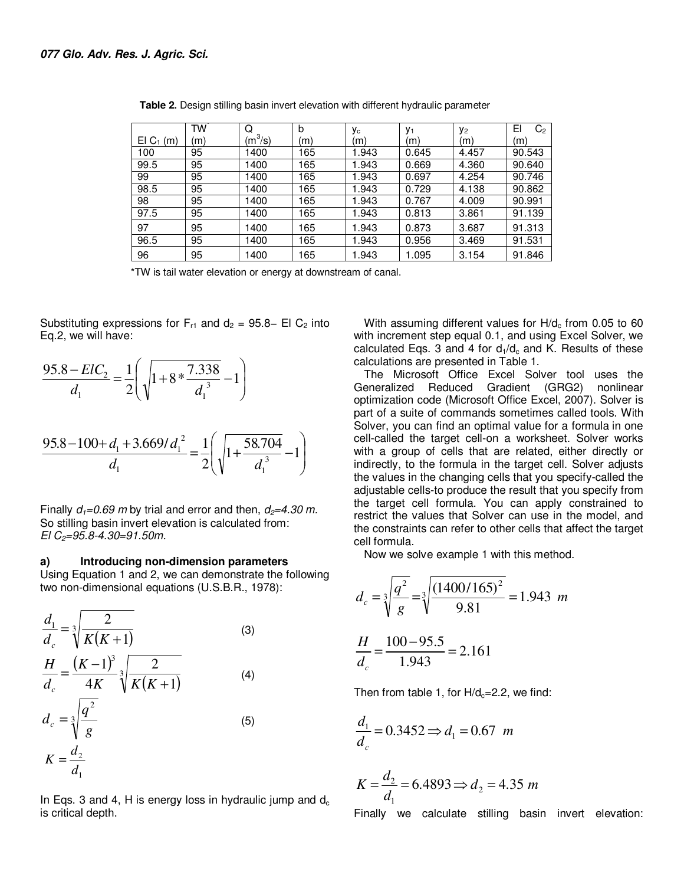|                   | TW  | Q               | b   | Уc    | V <sub>1</sub> | У2    | EI<br>C <sub>2</sub> |
|-------------------|-----|-----------------|-----|-------|----------------|-------|----------------------|
| $EI$ $C_1$<br>(m) | (m) | $(m^3\!/\rm s)$ | (m) | (m    | (m)            | (m)   | (m)                  |
| 100               | 95  | 1400            | 165 | 1.943 | 0.645          | 4.457 | 90.543               |
| 99.5              | 95  | 1400            | 65  | 1.943 | 0.669          | 4.360 | 90.640               |
| 99                | 95  | 1400            | 165 | 1.943 | 0.697          | 4.254 | 90.746               |
| 98.5              | 95  | 1400            | 165 | 1.943 | 0.729          | 4.138 | 90.862               |
| 98                | 95  | 1400            | 165 | 1.943 | 0.767          | 4.009 | 90.991               |
| 97.5              | 95  | 1400            | 165 | 1.943 | 0.813          | 3.861 | 91.139               |
| 97                | 95  | 1400            | 165 | 1.943 | 0.873          | 3.687 | 91.313               |
| 96.5              | 95  | 1400            | 165 | 1.943 | 0.956          | 3.469 | 91.531               |
| 96                | 95  | 1400            | 165 | 1.943 | 1.095          | 3.154 | 91.846               |

**Table 2.** Design stilling basin invert elevation with different hydraulic parameter

\*TW is tail water elevation or energy at downstream of canal.

Substituting expressions for  $F_{r1}$  and  $d_2 = 95.8-$  El C<sub>2</sub> into Eq.2, we will have:

$$
\frac{95.8 - ElC_2}{d_1} = \frac{1}{2} \left( \sqrt{1 + 8 \times \frac{7.338}{d_1^3}} - 1 \right)
$$
  

$$
\frac{95.8 - 100 + d_1 + 3.669/d_1^2}{d_1} = \frac{1}{2} \left( \sqrt{1 + \frac{58.704}{d_1^3}} - 1 \right)
$$

Finally  $d_1 = 0.69$  *m* by trial and error and then,  $d_2 = 4.30$  *m*. So stilling basin invert elevation is calculated from: *El C2=95.8-4.30=91.50m.*

#### **a) Introducing non-dimension parameters**

Using Equation 1 and 2, we can demonstrate the following two non-dimensional equations (U.S.B.R., 1978):

$$
\frac{d_1}{d_c} = \sqrt[3]{\frac{2}{K(K+1)}}\tag{3}
$$
\n
$$
\frac{H}{d_c} = \frac{(K-1)^3}{4K} \sqrt[3]{\frac{2}{K(K+1)}}\tag{4}
$$
\n
$$
d_c = \sqrt[3]{\frac{q^2}{g}}\tag{5}
$$
\n
$$
K = \frac{d_2}{d_1}
$$

In Eqs. 3 and 4, H is energy loss in hydraulic jump and  $d_c$ is critical depth.

With assuming different values for  $H/d_c$  from 0.05 to 60 with increment step equal 0.1, and using Excel Solver, we calculated Eqs. 3 and 4 for  $d_1/d_c$  and K. Results of these calculations are presented in Table 1.

The Microsoft Office Excel Solver tool uses the Generalized Reduced Gradient (GRG2) nonlinear optimization code (Microsoft Office Excel, 2007). Solver is part of a suite of commands sometimes called tools. With Solver, you can find an optimal value for a formula in one cell-called the target cell-on a worksheet. Solver works with a group of cells that are related, either directly or indirectly, to the formula in the target cell. Solver adjusts the values in the changing cells that you specify-called the adjustable cells-to produce the result that you specify from the target cell formula. You can apply constrained to restrict the values that Solver can use in the model, and the constraints can refer to other cells that affect the target cell formula.

Now we solve example 1 with this method.

$$
d_c = \sqrt[3]{\frac{q^2}{g}} = \sqrt[3]{\frac{(1400/165)^2}{9.81}} = 1.943 \text{ m}
$$

$$
\frac{H}{d_c} = \frac{100 - 95.5}{1.943} = 2.161
$$

Then from table 1, for  $H/d_c=2.2$ , we find:

$$
\frac{d_1}{d_c} = 0.3452 \Rightarrow d_1 = 0.67 \ m
$$

$$
K = \frac{d_2}{d_1} = 6.4893 \Rightarrow d_2 = 4.35 \ m
$$

Finally we calculate stilling basin invert elevation: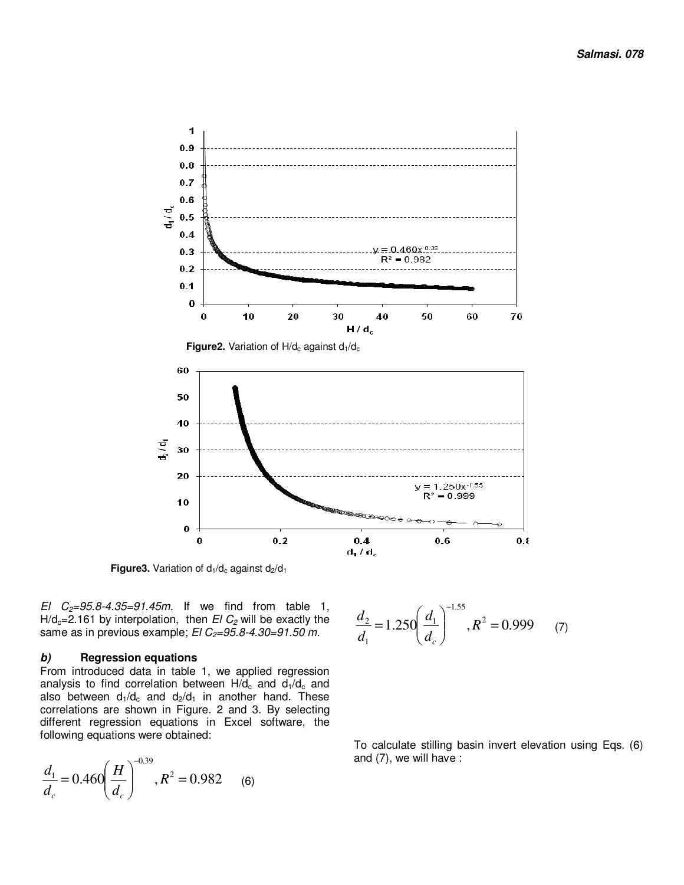

**Figure3.** Variation of  $d_1/d_c$  against  $d_2/d_1$ 

*El C2=95.8-4.35=91.45m.* If we find from table 1,  $H/d_c = 2.161$  by interpolation, then  $EI C_2$  will be exactly the same as in previous example; *El C2=95.8-4.30=91.50 m.* 

#### **b) Regression equations**

From introduced data in table 1, we applied regression analysis to find correlation between  $H/d_c$  and  $d_1/d_c$  and also between  $d_1/d_c$  and  $d_2/d_1$  in another hand. These correlations are shown in Figure. 2 and 3. By selecting different regression equations in Excel software, the following equations were obtained:

$$
\frac{d_1}{d_c} = 0.460 \left(\frac{H}{d_c}\right)^{-0.39}, R^2 = 0.982 \quad (6)
$$

$$
\frac{d_2}{d_1} = 1.250 \left(\frac{d_1}{d_c}\right)^{-1.55}, R^2 = 0.999 \qquad (7)
$$

To calculate stilling basin invert elevation using Eqs. (6) and (7), we will have :